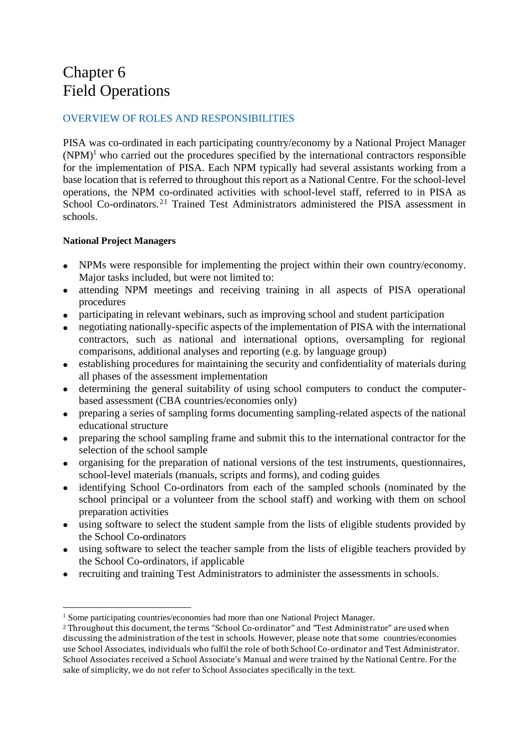# Chapter 6 Field Operations

# OVERVIEW OF ROLES AND RESPONSIBILITIES

PISA was co-ordinated in each participating country/economy by a National Project Manager  $(NPM)^1$  who carried out the procedures specified by the international contractors responsible for the implementation of PISA. Each NPM typically had several assistants working from a base location that is referred to throughout this report as a National Centre. For the school-level operations, the NPM co-ordinated activities with school-level staff, referred to in PISA as School Co-ordinators.<sup>21</sup> Trained Test Administrators administered the PISA assessment in schools.

# **National Project Managers**

- NPMs were responsible for implementing the project within their own country/economy. Major tasks included, but were not limited to:
- attending NPM meetings and receiving training in all aspects of PISA operational procedures
- participating in relevant webinars, such as improving school and student participation
- negotiating nationally-specific aspects of the implementation of PISA with the international contractors, such as national and international options, oversampling for regional comparisons, additional analyses and reporting (e.g. by language group)
- establishing procedures for maintaining the security and confidentiality of materials during all phases of the assessment implementation
- determining the general suitability of using school computers to conduct the computerbased assessment (CBA countries/economies only)
- preparing a series of sampling forms documenting sampling-related aspects of the national educational structure
- preparing the school sampling frame and submit this to the international contractor for the selection of the school sample
- organising for the preparation of national versions of the test instruments, questionnaires, school-level materials (manuals, scripts and forms), and coding guides
- identifying School Co-ordinators from each of the sampled schools (nominated by the school principal or a volunteer from the school staff) and working with them on school preparation activities
- using software to select the student sample from the lists of eligible students provided by the School Co-ordinators
- using software to select the teacher sample from the lists of eligible teachers provided by the School Co-ordinators, if applicable
- recruiting and training Test Administrators to administer the assessments in schools.

 $\overline{a}$ <sup>1</sup> Some participating countries/economies had more than one National Project Manager.

<sup>2</sup> Throughout this document, the terms "School Co-ordinator" and "Test Administrator" are used when discussing the administration of the test in schools. However, please note that some countries/economies use School Associates, individuals who fulfil the role of both School Co-ordinator and Test Administrator. School Associates received a School Associate's Manual and were trained by the National Centre. For the sake of simplicity, we do not refer to School Associates specifically in the text.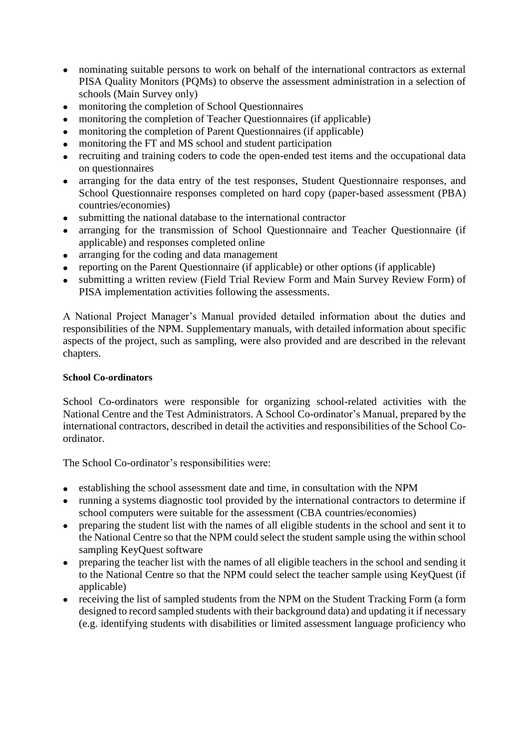- nominating suitable persons to work on behalf of the international contractors as external PISA Quality Monitors (PQMs) to observe the assessment administration in a selection of schools (Main Survey only)
- monitoring the completion of School Questionnaires
- monitoring the completion of Teacher Questionnaires (if applicable)
- monitoring the completion of Parent Questionnaires (if applicable)
- monitoring the FT and MS school and student participation<br>• recruiting and training coders to code the onen-ended test if
- recruiting and training coders to code the open-ended test items and the occupational data on questionnaires
- arranging for the data entry of the test responses, Student Questionnaire responses, and School Questionnaire responses completed on hard copy (paper-based assessment (PBA) countries/economies)
- submitting the national database to the international contractor
- arranging for the transmission of School Questionnaire and Teacher Questionnaire (if applicable) and responses completed online
- arranging for the coding and data management
- reporting on the Parent Questionnaire (if applicable) or other options (if applicable)
- submitting a written review (Field Trial Review Form and Main Survey Review Form) of PISA implementation activities following the assessments.

A National Project Manager's Manual provided detailed information about the duties and responsibilities of the NPM. Supplementary manuals, with detailed information about specific aspects of the project, such as sampling, were also provided and are described in the relevant chapters.

#### **School Co-ordinators**

School Co-ordinators were responsible for organizing school-related activities with the National Centre and the Test Administrators. A School Co-ordinator's Manual, prepared by the international contractors, described in detail the activities and responsibilities of the School Coordinator.

The School Co-ordinator's responsibilities were:

- establishing the school assessment date and time, in consultation with the NPM
- running a systems diagnostic tool provided by the international contractors to determine if school computers were suitable for the assessment (CBA countries/economies)
- preparing the student list with the names of all eligible students in the school and sent it to the National Centre so that the NPM could select the student sample using the within school sampling KeyQuest software
- preparing the teacher list with the names of all eligible teachers in the school and sending it to the National Centre so that the NPM could select the teacher sample using KeyQuest (if applicable)
- receiving the list of sampled students from the NPM on the Student Tracking Form (a form designed to record sampled students with their background data) and updating it if necessary (e.g. identifying students with disabilities or limited assessment language proficiency who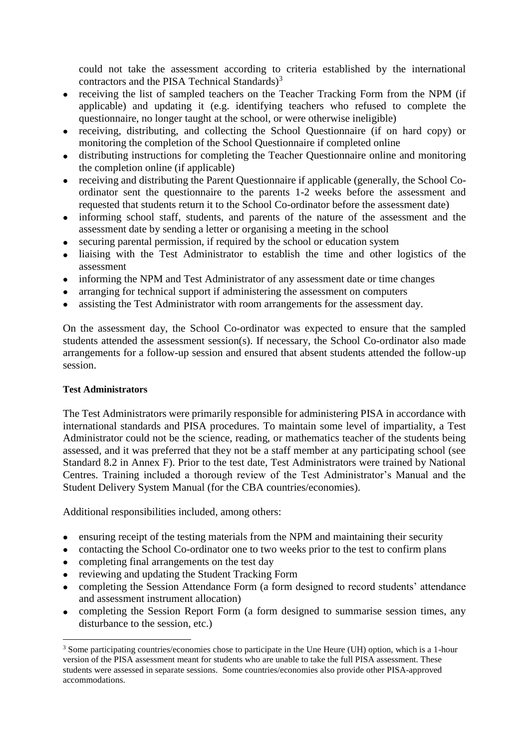could not take the assessment according to criteria established by the international contractors and the PISA Technical Standards)<sup>3</sup>

- receiving the list of sampled teachers on the Teacher Tracking Form from the NPM (if applicable) and updating it (e.g. identifying teachers who refused to complete the questionnaire, no longer taught at the school, or were otherwise ineligible)
- receiving, distributing, and collecting the School Questionnaire (if on hard copy) or monitoring the completion of the School Questionnaire if completed online
- distributing instructions for completing the Teacher Questionnaire online and monitoring the completion online (if applicable)
- receiving and distributing the Parent Questionnaire if applicable (generally, the School Coordinator sent the questionnaire to the parents 1-2 weeks before the assessment and requested that students return it to the School Co-ordinator before the assessment date)
- informing school staff, students, and parents of the nature of the assessment and the assessment date by sending a letter or organising a meeting in the school
- securing parental permission, if required by the school or education system
- liaising with the Test Administrator to establish the time and other logistics of the assessment
- informing the NPM and Test Administrator of any assessment date or time changes
- arranging for technical support if administering the assessment on computers
- assisting the Test Administrator with room arrangements for the assessment day.

On the assessment day, the School Co-ordinator was expected to ensure that the sampled students attended the assessment session(s). If necessary, the School Co-ordinator also made arrangements for a follow-up session and ensured that absent students attended the follow-up session.

#### **Test Administrators**

 $\overline{a}$ 

The Test Administrators were primarily responsible for administering PISA in accordance with international standards and PISA procedures. To maintain some level of impartiality, a Test Administrator could not be the science, reading, or mathematics teacher of the students being assessed, and it was preferred that they not be a staff member at any participating school (see Standard 8.2 in Annex F). Prior to the test date, Test Administrators were trained by National Centres. Training included a thorough review of the Test Administrator's Manual and the Student Delivery System Manual (for the CBA countries/economies).

Additional responsibilities included, among others:

- ensuring receipt of the testing materials from the NPM and maintaining their security
- contacting the School Co-ordinator one to two weeks prior to the test to confirm plans
- completing final arrangements on the test day
- reviewing and updating the Student Tracking Form
- completing the Session Attendance Form (a form designed to record students' attendance and assessment instrument allocation)
- completing the Session Report Form (a form designed to summarise session times, any disturbance to the session, etc.)

<sup>3</sup> Some participating countries/economies chose to participate in the Une Heure (UH) option, which is a 1-hour version of the PISA assessment meant for students who are unable to take the full PISA assessment. These students were assessed in separate sessions. Some countries/economies also provide other PISA-approved accommodations.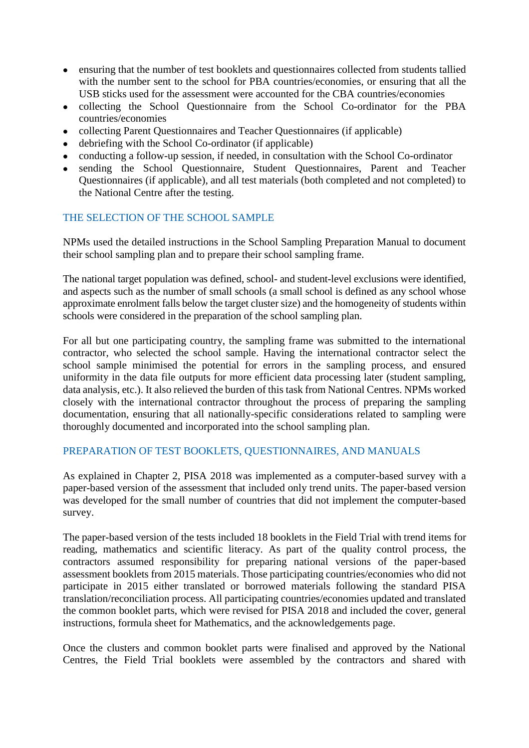- ensuring that the number of test booklets and questionnaires collected from students tallied with the number sent to the school for PBA countries/economies, or ensuring that all the USB sticks used for the assessment were accounted for the CBA countries/economies
- collecting the School Questionnaire from the School Co-ordinator for the PBA countries/economies
- collecting Parent Questionnaires and Teacher Questionnaires (if applicable)
- debriefing with the School Co-ordinator (if applicable)
- conducting a follow-up session, if needed, in consultation with the School Co-ordinator
- sending the School Questionnaire, Student Questionnaires, Parent and Teacher Questionnaires (if applicable), and all test materials (both completed and not completed) to the National Centre after the testing.

# THE SELECTION OF THE SCHOOL SAMPLE

NPMs used the detailed instructions in the School Sampling Preparation Manual to document their school sampling plan and to prepare their school sampling frame.

The national target population was defined, school- and student-level exclusions were identified, and aspects such as the number of small schools (a small school is defined as any school whose approximate enrolment falls below the target cluster size) and the homogeneity of students within schools were considered in the preparation of the school sampling plan.

For all but one participating country, the sampling frame was submitted to the international contractor, who selected the school sample. Having the international contractor select the school sample minimised the potential for errors in the sampling process, and ensured uniformity in the data file outputs for more efficient data processing later (student sampling, data analysis, etc.). It also relieved the burden of this task from National Centres. NPMs worked closely with the international contractor throughout the process of preparing the sampling documentation, ensuring that all nationally-specific considerations related to sampling were thoroughly documented and incorporated into the school sampling plan.

#### PREPARATION OF TEST BOOKLETS, QUESTIONNAIRES, AND MANUALS

As explained in Chapter 2, PISA 2018 was implemented as a computer-based survey with a paper-based version of the assessment that included only trend units. The paper-based version was developed for the small number of countries that did not implement the computer-based survey.

The paper-based version of the tests included 18 booklets in the Field Trial with trend items for reading, mathematics and scientific literacy. As part of the quality control process, the contractors assumed responsibility for preparing national versions of the paper-based assessment booklets from 2015 materials. Those participating countries/economies who did not participate in 2015 either translated or borrowed materials following the standard PISA translation/reconciliation process. All participating countries/economies updated and translated the common booklet parts, which were revised for PISA 2018 and included the cover, general instructions, formula sheet for Mathematics, and the acknowledgements page.

Once the clusters and common booklet parts were finalised and approved by the National Centres, the Field Trial booklets were assembled by the contractors and shared with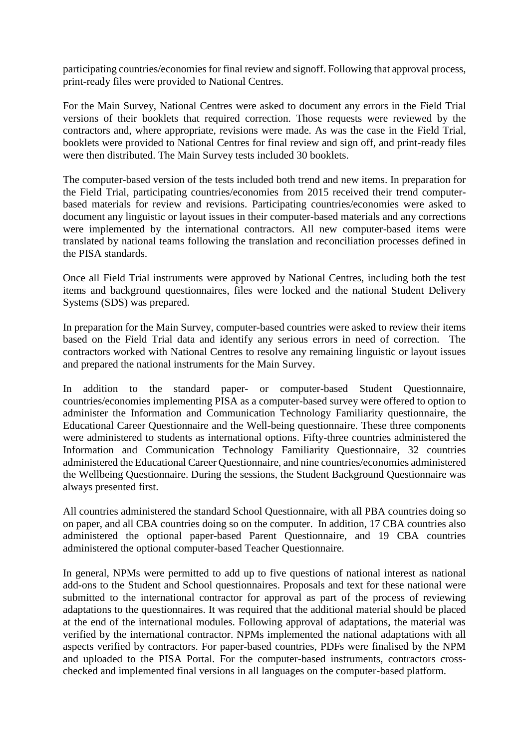participating countries/economies for final review and signoff. Following that approval process, print-ready files were provided to National Centres.

For the Main Survey, National Centres were asked to document any errors in the Field Trial versions of their booklets that required correction. Those requests were reviewed by the contractors and, where appropriate, revisions were made. As was the case in the Field Trial, booklets were provided to National Centres for final review and sign off, and print-ready files were then distributed. The Main Survey tests included 30 booklets.

The computer-based version of the tests included both trend and new items. In preparation for the Field Trial, participating countries/economies from 2015 received their trend computerbased materials for review and revisions. Participating countries/economies were asked to document any linguistic or layout issues in their computer-based materials and any corrections were implemented by the international contractors. All new computer-based items were translated by national teams following the translation and reconciliation processes defined in the PISA standards.

Once all Field Trial instruments were approved by National Centres, including both the test items and background questionnaires, files were locked and the national Student Delivery Systems (SDS) was prepared.

In preparation for the Main Survey, computer-based countries were asked to review their items based on the Field Trial data and identify any serious errors in need of correction. The contractors worked with National Centres to resolve any remaining linguistic or layout issues and prepared the national instruments for the Main Survey.

In addition to the standard paper- or computer-based Student Questionnaire, countries/economies implementing PISA as a computer-based survey were offered to option to administer the Information and Communication Technology Familiarity questionnaire, the Educational Career Questionnaire and the Well-being questionnaire. These three components were administered to students as international options. Fifty-three countries administered the Information and Communication Technology Familiarity Questionnaire, 32 countries administered the Educational Career Questionnaire, and nine countries/economies administered the Wellbeing Questionnaire. During the sessions, the Student Background Questionnaire was always presented first.

All countries administered the standard School Questionnaire, with all PBA countries doing so on paper, and all CBA countries doing so on the computer. In addition, 17 CBA countries also administered the optional paper-based Parent Questionnaire, and 19 CBA countries administered the optional computer-based Teacher Questionnaire.

In general, NPMs were permitted to add up to five questions of national interest as national add-ons to the Student and School questionnaires. Proposals and text for these national were submitted to the international contractor for approval as part of the process of reviewing adaptations to the questionnaires. It was required that the additional material should be placed at the end of the international modules. Following approval of adaptations, the material was verified by the international contractor. NPMs implemented the national adaptations with all aspects verified by contractors. For paper-based countries, PDFs were finalised by the NPM and uploaded to the PISA Portal. For the computer-based instruments, contractors crosschecked and implemented final versions in all languages on the computer-based platform.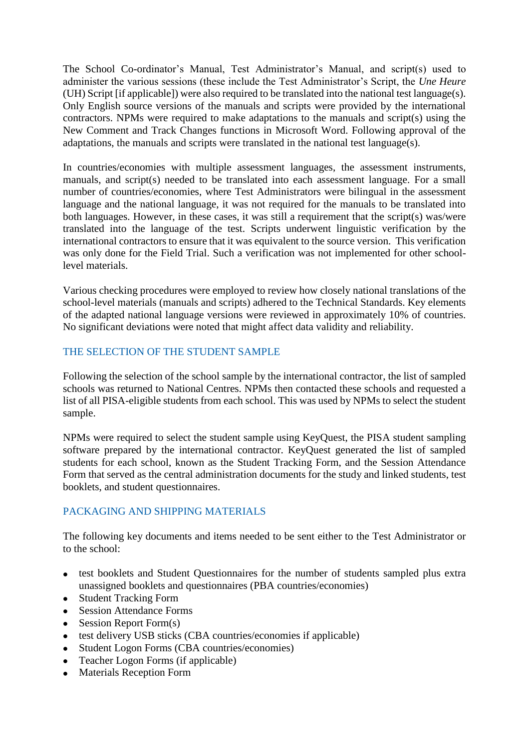The School Co-ordinator's Manual, Test Administrator's Manual, and script(s) used to administer the various sessions (these include the Test Administrator's Script, the *Une Heure* (UH) Script [if applicable]) were also required to be translated into the national test language(s). Only English source versions of the manuals and scripts were provided by the international contractors. NPMs were required to make adaptations to the manuals and script(s) using the New Comment and Track Changes functions in Microsoft Word. Following approval of the adaptations, the manuals and scripts were translated in the national test language(s).

In countries/economies with multiple assessment languages, the assessment instruments, manuals, and script(s) needed to be translated into each assessment language. For a small number of countries/economies, where Test Administrators were bilingual in the assessment language and the national language, it was not required for the manuals to be translated into both languages. However, in these cases, it was still a requirement that the script(s) was/were translated into the language of the test. Scripts underwent linguistic verification by the international contractors to ensure that it was equivalent to the source version. This verification was only done for the Field Trial. Such a verification was not implemented for other schoollevel materials.

Various checking procedures were employed to review how closely national translations of the school-level materials (manuals and scripts) adhered to the Technical Standards. Key elements of the adapted national language versions were reviewed in approximately 10% of countries. No significant deviations were noted that might affect data validity and reliability.

# THE SELECTION OF THE STUDENT SAMPLE

Following the selection of the school sample by the international contractor, the list of sampled schools was returned to National Centres. NPMs then contacted these schools and requested a list of all PISA-eligible students from each school. This was used by NPMs to select the student sample.

NPMs were required to select the student sample using KeyQuest, the PISA student sampling software prepared by the international contractor. KeyQuest generated the list of sampled students for each school, known as the Student Tracking Form, and the Session Attendance Form that served as the central administration documents for the study and linked students, test booklets, and student questionnaires.

# PACKAGING AND SHIPPING MATERIALS

The following key documents and items needed to be sent either to the Test Administrator or to the school:

- test booklets and Student Questionnaires for the number of students sampled plus extra unassigned booklets and questionnaires (PBA countries/economies)
- Student Tracking Form
- Session Attendance Forms
- $\bullet$  Session Report Form(s)
- test delivery USB sticks (CBA countries/economies if applicable)
- Student Logon Forms (CBA countries/economies)
- Teacher Logon Forms (if applicable)
- Materials Reception Form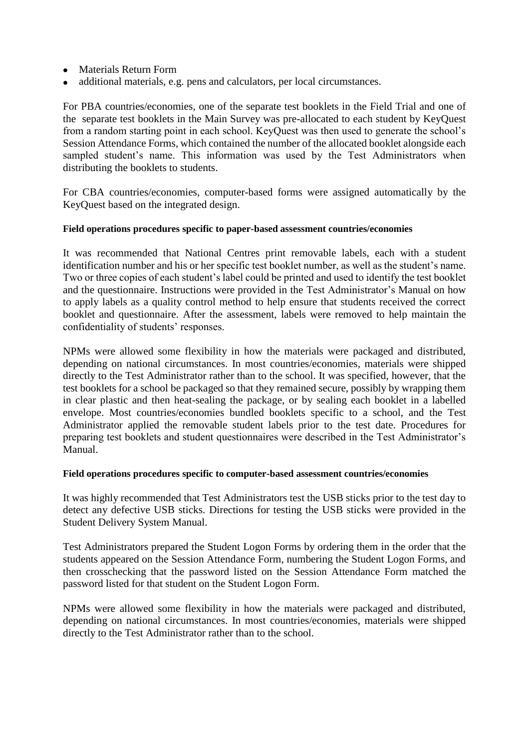- Materials Return Form
- additional materials, e.g. pens and calculators, per local circumstances.

For PBA countries/economies, one of the separate test booklets in the Field Trial and one of the separate test booklets in the Main Survey was pre-allocated to each student by KeyQuest from a random starting point in each school. KeyQuest was then used to generate the school's Session Attendance Forms, which contained the number of the allocated booklet alongside each sampled student's name. This information was used by the Test Administrators when distributing the booklets to students.

For CBA countries/economies, computer-based forms were assigned automatically by the KeyQuest based on the integrated design.

#### **Field operations procedures specific to paper-based assessment countries/economies**

It was recommended that National Centres print removable labels, each with a student identification number and his or her specific test booklet number, as well as the student's name. Two or three copies of each student's label could be printed and used to identify the test booklet and the questionnaire. Instructions were provided in the Test Administrator's Manual on how to apply labels as a quality control method to help ensure that students received the correct booklet and questionnaire. After the assessment, labels were removed to help maintain the confidentiality of students' responses.

NPMs were allowed some flexibility in how the materials were packaged and distributed, depending on national circumstances. In most countries/economies, materials were shipped directly to the Test Administrator rather than to the school. It was specified, however, that the test booklets for a school be packaged so that they remained secure, possibly by wrapping them in clear plastic and then heat-sealing the package, or by sealing each booklet in a labelled envelope. Most countries/economies bundled booklets specific to a school, and the Test Administrator applied the removable student labels prior to the test date. Procedures for preparing test booklets and student questionnaires were described in the Test Administrator's Manual.

#### **Field operations procedures specific to computer-based assessment countries/economies**

It was highly recommended that Test Administrators test the USB sticks prior to the test day to detect any defective USB sticks. Directions for testing the USB sticks were provided in the Student Delivery System Manual.

Test Administrators prepared the Student Logon Forms by ordering them in the order that the students appeared on the Session Attendance Form, numbering the Student Logon Forms, and then crosschecking that the password listed on the Session Attendance Form matched the password listed for that student on the Student Logon Form.

NPMs were allowed some flexibility in how the materials were packaged and distributed, depending on national circumstances. In most countries/economies, materials were shipped directly to the Test Administrator rather than to the school.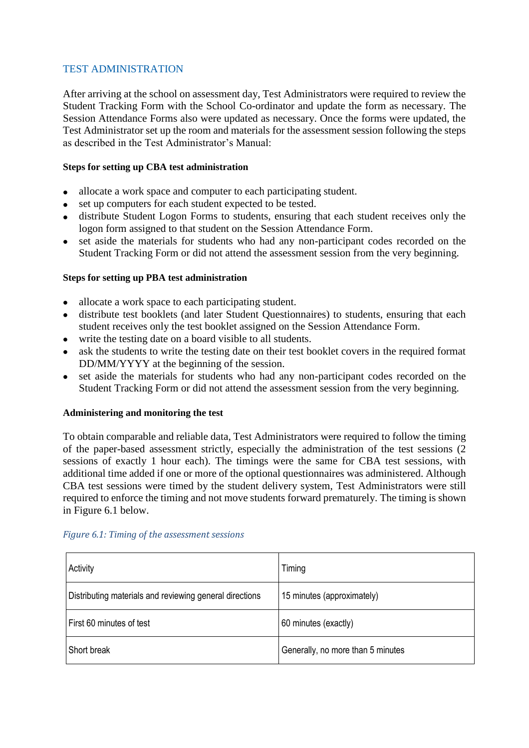# TEST ADMINISTRATION

After arriving at the school on assessment day, Test Administrators were required to review the Student Tracking Form with the School Co-ordinator and update the form as necessary. The Session Attendance Forms also were updated as necessary. Once the forms were updated, the Test Administrator set up the room and materials for the assessment session following the steps as described in the Test Administrator's Manual:

#### **Steps for setting up CBA test administration**

- allocate a work space and computer to each participating student.
- set up computers for each student expected to be tested.
- distribute Student Logon Forms to students, ensuring that each student receives only the logon form assigned to that student on the Session Attendance Form.
- set aside the materials for students who had any non-participant codes recorded on the Student Tracking Form or did not attend the assessment session from the very beginning.

### **Steps for setting up PBA test administration**

- allocate a work space to each participating student.
- distribute test booklets (and later Student Questionnaires) to students, ensuring that each student receives only the test booklet assigned on the Session Attendance Form.
- write the testing date on a board visible to all students.
- ask the students to write the testing date on their test booklet covers in the required format DD/MM/YYYY at the beginning of the session.
- set aside the materials for students who had any non-participant codes recorded on the Student Tracking Form or did not attend the assessment session from the very beginning.

#### **Administering and monitoring the test**

To obtain comparable and reliable data, Test Administrators were required to follow the timing of the paper-based assessment strictly, especially the administration of the test sessions (2 sessions of exactly 1 hour each). The timings were the same for CBA test sessions, with additional time added if one or more of the optional questionnaires was administered. Although CBA test sessions were timed by the student delivery system, Test Administrators were still required to enforce the timing and not move students forward prematurely. The timing is shown in Figure 6.1 below.

| Activity                                                | Timing                            |
|---------------------------------------------------------|-----------------------------------|
| Distributing materials and reviewing general directions | 15 minutes (approximately)        |
| First 60 minutes of test                                | 60 minutes (exactly)              |
| Short break                                             | Generally, no more than 5 minutes |

#### *Figure 6.1: Timing of the assessment sessions*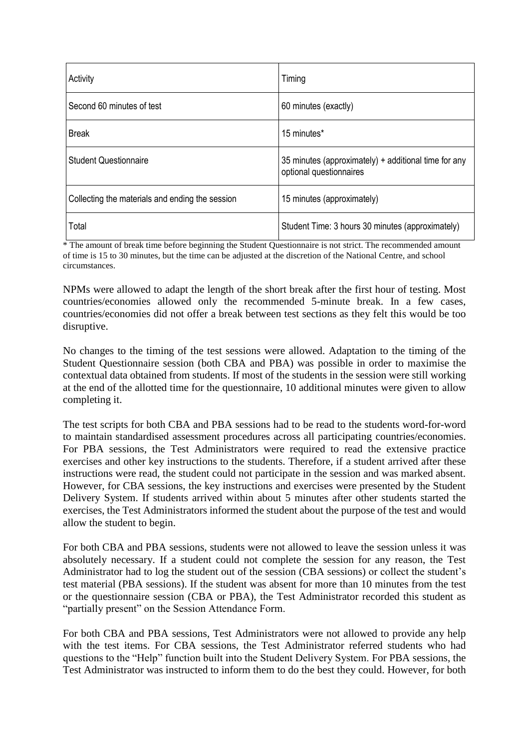| Activity                                        | Timing                                                                          |
|-------------------------------------------------|---------------------------------------------------------------------------------|
| Second 60 minutes of test                       | 60 minutes (exactly)                                                            |
| <b>Break</b>                                    | 15 minutes*                                                                     |
| <b>Student Questionnaire</b>                    | 35 minutes (approximately) + additional time for any<br>optional questionnaires |
| Collecting the materials and ending the session | 15 minutes (approximately)                                                      |
| Total                                           | Student Time: 3 hours 30 minutes (approximately)                                |

\* The amount of break time before beginning the Student Questionnaire is not strict. The recommended amount of time is 15 to 30 minutes, but the time can be adjusted at the discretion of the National Centre, and school circumstances.

NPMs were allowed to adapt the length of the short break after the first hour of testing. Most countries/economies allowed only the recommended 5-minute break. In a few cases, countries/economies did not offer a break between test sections as they felt this would be too disruptive.

No changes to the timing of the test sessions were allowed. Adaptation to the timing of the Student Questionnaire session (both CBA and PBA) was possible in order to maximise the contextual data obtained from students. If most of the students in the session were still working at the end of the allotted time for the questionnaire, 10 additional minutes were given to allow completing it.

The test scripts for both CBA and PBA sessions had to be read to the students word-for-word to maintain standardised assessment procedures across all participating countries/economies. For PBA sessions, the Test Administrators were required to read the extensive practice exercises and other key instructions to the students. Therefore, if a student arrived after these instructions were read, the student could not participate in the session and was marked absent. However, for CBA sessions, the key instructions and exercises were presented by the Student Delivery System. If students arrived within about 5 minutes after other students started the exercises, the Test Administrators informed the student about the purpose of the test and would allow the student to begin.

For both CBA and PBA sessions, students were not allowed to leave the session unless it was absolutely necessary. If a student could not complete the session for any reason, the Test Administrator had to log the student out of the session (CBA sessions) or collect the student's test material (PBA sessions). If the student was absent for more than 10 minutes from the test or the questionnaire session (CBA or PBA), the Test Administrator recorded this student as "partially present" on the Session Attendance Form.

For both CBA and PBA sessions, Test Administrators were not allowed to provide any help with the test items. For CBA sessions, the Test Administrator referred students who had questions to the "Help" function built into the Student Delivery System. For PBA sessions, the Test Administrator was instructed to inform them to do the best they could. However, for both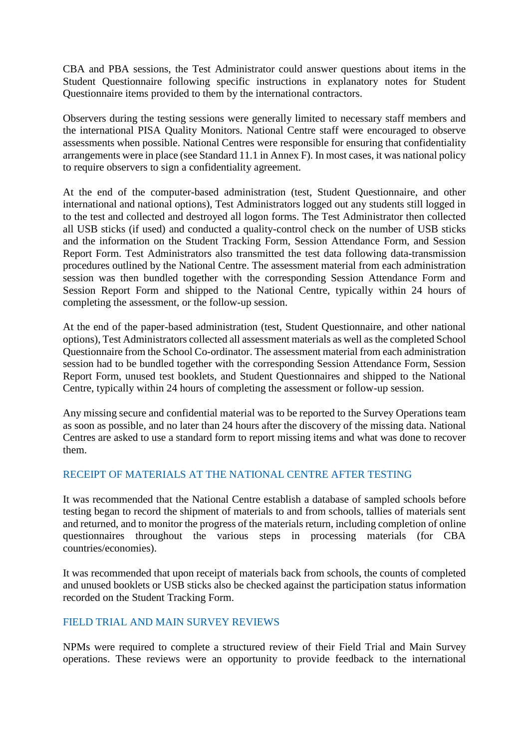CBA and PBA sessions, the Test Administrator could answer questions about items in the Student Questionnaire following specific instructions in explanatory notes for Student Questionnaire items provided to them by the international contractors.

Observers during the testing sessions were generally limited to necessary staff members and the international PISA Quality Monitors. National Centre staff were encouraged to observe assessments when possible. National Centres were responsible for ensuring that confidentiality arrangements were in place (see Standard 11.1 in Annex F). In most cases, it was national policy to require observers to sign a confidentiality agreement.

At the end of the computer-based administration (test, Student Questionnaire, and other international and national options), Test Administrators logged out any students still logged in to the test and collected and destroyed all logon forms. The Test Administrator then collected all USB sticks (if used) and conducted a quality-control check on the number of USB sticks and the information on the Student Tracking Form, Session Attendance Form, and Session Report Form. Test Administrators also transmitted the test data following data-transmission procedures outlined by the National Centre. The assessment material from each administration session was then bundled together with the corresponding Session Attendance Form and Session Report Form and shipped to the National Centre, typically within 24 hours of completing the assessment, or the follow-up session.

At the end of the paper-based administration (test, Student Questionnaire, and other national options), Test Administrators collected all assessment materials as well as the completed School Questionnaire from the School Co-ordinator. The assessment material from each administration session had to be bundled together with the corresponding Session Attendance Form, Session Report Form, unused test booklets, and Student Questionnaires and shipped to the National Centre, typically within 24 hours of completing the assessment or follow-up session.

Any missing secure and confidential material was to be reported to the Survey Operations team as soon as possible, and no later than 24 hours after the discovery of the missing data. National Centres are asked to use a standard form to report missing items and what was done to recover them.

# RECEIPT OF MATERIALS AT THE NATIONAL CENTRE AFTER TESTING

It was recommended that the National Centre establish a database of sampled schools before testing began to record the shipment of materials to and from schools, tallies of materials sent and returned, and to monitor the progress of the materials return, including completion of online questionnaires throughout the various steps in processing materials (for CBA countries/economies).

It was recommended that upon receipt of materials back from schools, the counts of completed and unused booklets or USB sticks also be checked against the participation status information recorded on the Student Tracking Form.

#### FIELD TRIAL AND MAIN SURVEY REVIEWS

NPMs were required to complete a structured review of their Field Trial and Main Survey operations. These reviews were an opportunity to provide feedback to the international